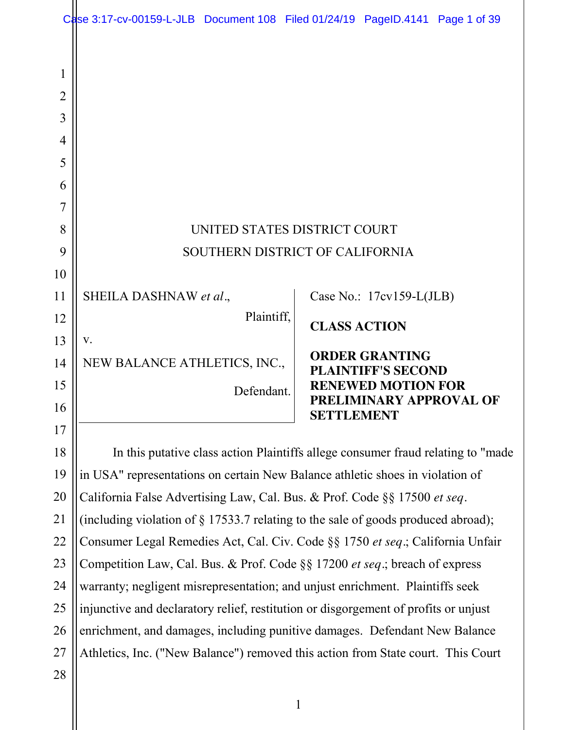|                | Case 3:17-cv-00159-L-JLB Document 108 Filed 01/24/19 PageID.4141 Page 1 of 39        |                                                      |
|----------------|--------------------------------------------------------------------------------------|------------------------------------------------------|
|                |                                                                                      |                                                      |
| 1              |                                                                                      |                                                      |
| $\overline{2}$ |                                                                                      |                                                      |
| 3              |                                                                                      |                                                      |
| 4              |                                                                                      |                                                      |
| 5              |                                                                                      |                                                      |
| 6              |                                                                                      |                                                      |
| 7              |                                                                                      |                                                      |
| 8              | UNITED STATES DISTRICT COURT                                                         |                                                      |
| 9              | SOUTHERN DISTRICT OF CALIFORNIA                                                      |                                                      |
| 10             |                                                                                      |                                                      |
| 11             | SHEILA DASHNAW et al.,                                                               | Case No.: $17cv159-L(JLB)$                           |
| 12             | Plaintiff,                                                                           | <b>CLASS ACTION</b>                                  |
| 13             | V.                                                                                   |                                                      |
| 14             | NEW BALANCE ATHLETICS, INC.,                                                         | <b>ORDER GRANTING</b><br><b>PLAINTIFF'S SECOND</b>   |
| 15             | Defendant.                                                                           | <b>RENEWED MOTION FOR</b><br>PRELIMINARY APPROVAL OF |
| 16             |                                                                                      | <b>SETTLEMENT</b>                                    |
| 17             |                                                                                      |                                                      |
| 18             | In this putative class action Plaintiffs allege consumer fraud relating to "made"    |                                                      |
| 19             | in USA" representations on certain New Balance athletic shoes in violation of        |                                                      |
| 20             | California False Advertising Law, Cal. Bus. & Prof. Code §§ 17500 et seq.            |                                                      |
| 21             | (including violation of $\S 17533.7$ relating to the sale of goods produced abroad); |                                                      |
| 22             | Consumer Legal Remedies Act, Cal. Civ. Code §§ 1750 et seq.; California Unfair       |                                                      |
| 23             | Competition Law, Cal. Bus. & Prof. Code §§ 17200 <i>et seq</i> .; breach of express  |                                                      |
| 24             | warranty; negligent misrepresentation; and unjust enrichment. Plaintiffs seek        |                                                      |
| 25             | injunctive and declaratory relief, restitution or disgorgement of profits or unjust  |                                                      |
| 26             | enrichment, and damages, including punitive damages. Defendant New Balance           |                                                      |
| 27             | Athletics, Inc. ("New Balance") removed this action from State court. This Court     |                                                      |
| 28             |                                                                                      |                                                      |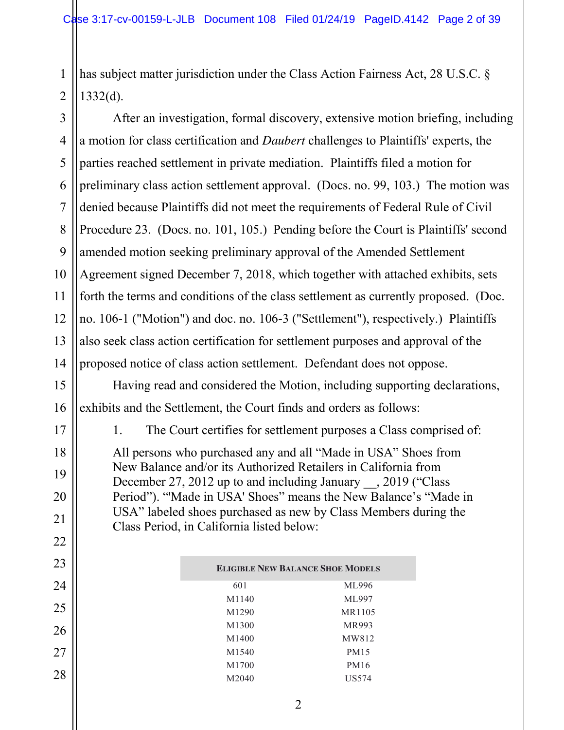has subject matter jurisdiction under the Class Action Fairness Act, 28 U.S.C. §  $1332(d)$ .

After an investigation, formal discovery, extensive motion briefing, including a motion for class certification and *Daubert* challenges to Plaintiffs' experts, the parties reached settlement in private mediation. Plaintiffs filed a motion for preliminary class action settlement approval. (Docs. no. 99, 103.) The motion was denied because Plaintiffs did not meet the requirements of Federal Rule of Civil Procedure 23. (Docs. no. 101, 105.) Pending before the Court is Plaintiffs' second amended motion seeking preliminary approval of the Amended Settlement Agreement signed December 7, 2018, which together with attached exhibits, sets forth the terms and conditions of the class settlement as currently proposed. (Doc. no. 106-1 ("Motion") and doc. no. 106-3 ("Settlement"), respectively.) Plaintiffs also seek class action certification for settlement purposes and approval of the proposed notice of class action settlement. Defendant does not oppose.

Having read and considered the Motion, including supporting declarations, exhibits and the Settlement, the Court finds and orders as follows:

1. The Court certifies for settlement purposes a Class comprised of:

All persons who purchased any and all "Made in USA" Shoes from New Balance and/or its Authorized Retailers in California from December 27, 2012 up to and including January , 2019 ("Class") Period"). "'Made in USA' Shoes" means the New Balance's "Made in USA" labeled shoes purchased as new by Class Members during the Class Period, in California listed below:

| <b>ELIGIBLE NEW BALANCE SHOE MODELS</b> |             |  |
|-----------------------------------------|-------------|--|
| 601                                     | ML996       |  |
| M1140                                   | ML997       |  |
| M <sub>1290</sub>                       | MR1105      |  |
| M1300                                   | MR993       |  |
| M <sub>1400</sub>                       | MW812       |  |
| M <sub>1540</sub>                       | <b>PM15</b> |  |
| M1700                                   | PM16        |  |
| M2040                                   | US574       |  |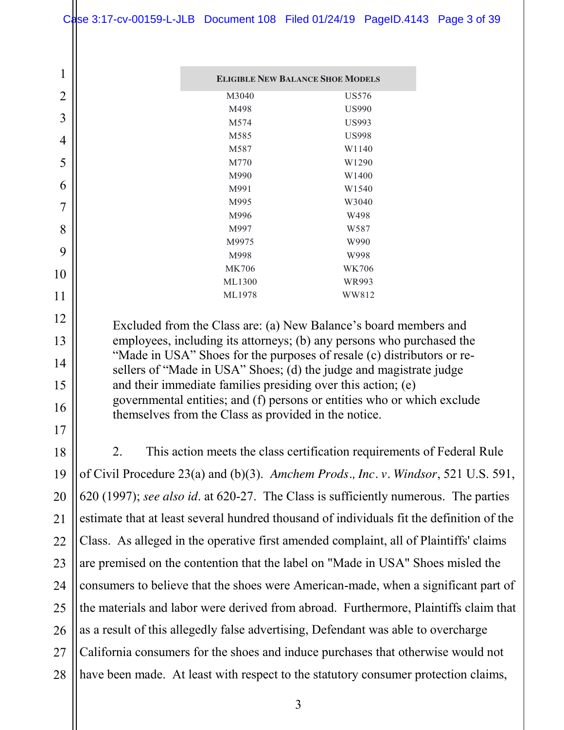1

2

3

4

5

6

7

8

9

10

11

12

13

14

15

16

17

21

| <b>ELIGIBLE NEW BALANCE SHOE MODELS</b> |                   |  |
|-----------------------------------------|-------------------|--|
| M3040                                   | US576             |  |
| M498                                    | <b>US990</b>      |  |
| M574                                    | US993             |  |
| M <sub>585</sub>                        | <b>US998</b>      |  |
| M587                                    | W <sub>1140</sub> |  |
| M770                                    | W <sub>1290</sub> |  |
| M990                                    | W1400             |  |
| M991                                    | W <sub>1540</sub> |  |
| M995                                    | W3040             |  |
| M996                                    | W498              |  |
| M997                                    | W <sub>587</sub>  |  |
| M9975                                   | W990              |  |
| M998                                    | W998              |  |
| MK706                                   | WK706             |  |
| ML1300                                  | WR993             |  |
| ML1978                                  | WW812             |  |

Excluded from the Class are: (a) New Balance's board members and employees, including its attorneys; (b) any persons who purchased the "Made in USA" Shoes for the purposes of resale (c) distributors or resellers of "Made in USA" Shoes; (d) the judge and magistrate judge and their immediate families presiding over this action; (e) governmental entities; and (f) persons or entities who or which exclude themselves from the Class as provided in the notice.

18 19 20 22 23 24 25 26 27 28 2. This action meets the class certification requirements of Federal Rule of Civil Procedure 23(a) and (b)(3). *Amchem Prods., Inc. v. Windsor*, 521 U.S. 591, 620 (1997); *see also id*. at 620-27. The Class is sufficiently numerous. The parties estimate that at least several hundred thousand of individuals fit the definition of the Class. As alleged in the operative first amended complaint, all of Plaintiffs' claims are premised on the contention that the label on "Made in USA" Shoes misled the consumers to believe that the shoes were American-made, when a significant part of the materials and labor were derived from abroad. Furthermore, Plaintiffs claim that as a result of this allegedly false advertising, Defendant was able to overcharge California consumers for the shoes and induce purchases that otherwise would not have been made. At least with respect to the statutory consumer protection claims,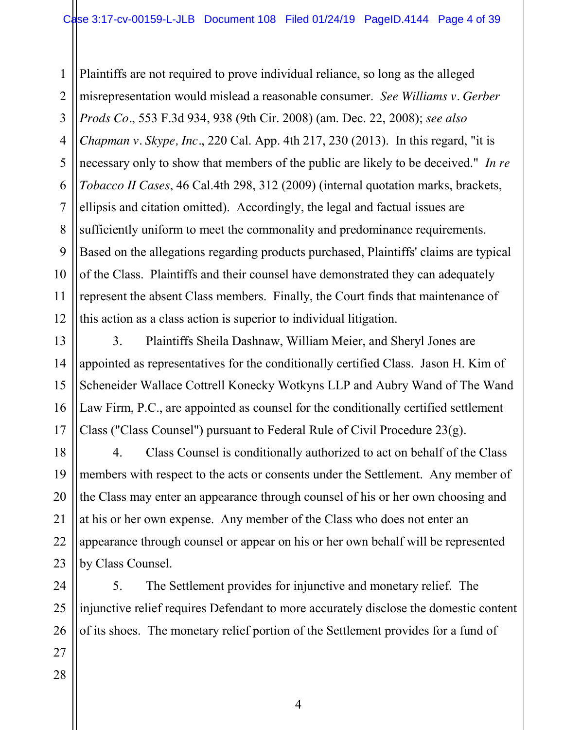1 2 3 4 5 6 7 8 9 10 11 12 Plaintiffs are not required to prove individual reliance, so long as the alleged misrepresentation would mislead a reasonable consumer. *See Williams v. Gerber Prods Co.*, 553 F.3d 934, 938 (9th Cir. 2008) (am. Dec. 22, 2008); *see also Chapman v. Skype, Inc.*, 220 Cal. App. 4th 217, 230 (2013). In this regard, "it is necessary only to show that members of the public are likely to be deceived." *In re Tobacco II Cases*, 46 Cal.4th 298, 312 (2009) (internal quotation marks, brackets, ellipsis and citation omitted). Accordingly, the legal and factual issues are sufficiently uniform to meet the commonality and predominance requirements. Based on the allegations regarding products purchased, Plaintiffs' claims are typical of the Class. Plaintiffs and their counsel have demonstrated they can adequately represent the absent Class members. Finally, the Court finds that maintenance of this action as a class action is superior to individual litigation.

13 14 15 16 17 3. Plaintiffs Sheila Dashnaw, William Meier, and Sheryl Jones are appointed as representatives for the conditionally certified Class. Jason H. Kim of Scheneider Wallace Cottrell Konecky Wotkyns LLP and Aubry Wand of The Wand Law Firm, P.C., are appointed as counsel for the conditionally certified settlement Class ("Class Counsel") pursuant to Federal Rule of Civil Procedure 23(g).

18 19 20 21 22 23 4. Class Counsel is conditionally authorized to act on behalf of the Class members with respect to the acts or consents under the Settlement. Any member of the Class may enter an appearance through counsel of his or her own choosing and at his or her own expense. Any member of the Class who does not enter an appearance through counsel or appear on his or her own behalf will be represented by Class Counsel.

24 25 26 5. The Settlement provides for injunctive and monetary relief. The injunctive relief requires Defendant to more accurately disclose the domestic content of its shoes. The monetary relief portion of the Settlement provides for a fund of

27 28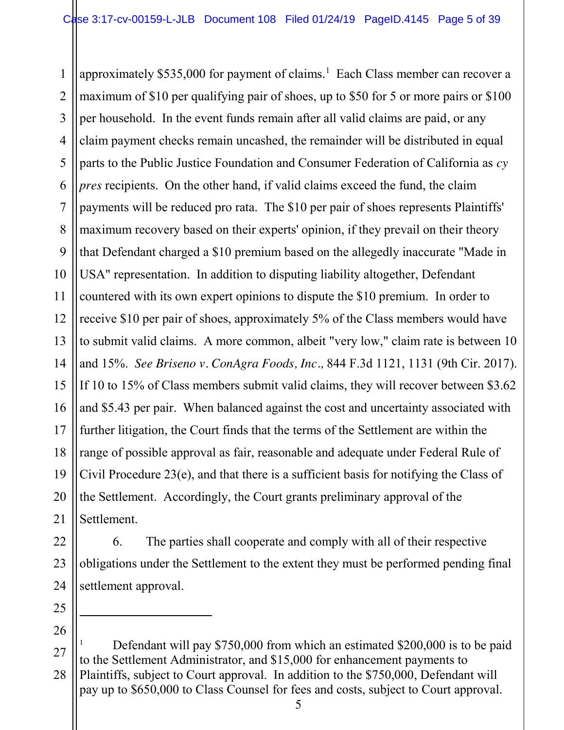1 2 3 4 5 6 7 8 9 10 11 12 13 14 15 16 17 18 19 20 21 approximately \$535,000 for payment of claims.<sup>1</sup> Each Class member can recover a maximum of \$10 per qualifying pair of shoes, up to \$50 for 5 or more pairs or \$100 per household. In the event funds remain after all valid claims are paid, or any claim payment checks remain uncashed, the remainder will be distributed in equal parts to the Public Justice Foundation and Consumer Federation of California as *cy pres* recipients. On the other hand, if valid claims exceed the fund, the claim payments will be reduced pro rata. The \$10 per pair of shoes represents Plaintiffs' maximum recovery based on their experts' opinion, if they prevail on their theory that Defendant charged a \$10 premium based on the allegedly inaccurate "Made in USA" representation. In addition to disputing liability altogether, Defendant countered with its own expert opinions to dispute the \$10 premium. In order to receive \$10 per pair of shoes, approximately 5% of the Class members would have to submit valid claims. A more common, albeit "very low," claim rate is between 10 and 15%. *See Briseno v. ConAgra Foods, Inc.,* 844 F.3d 1121, 1131 (9th Cir. 2017). If 10 to 15% of Class members submit valid claims, they will recover between \$3.62 and \$5.43 per pair. When balanced against the cost and uncertainty associated with further litigation, the Court finds that the terms of the Settlement are within the range of possible approval as fair, reasonable and adequate under Federal Rule of Civil Procedure 23(e), and that there is a sufficient basis for notifying the Class of the Settlement. Accordingly, the Court grants preliminary approval of the Settlement.

22 23 24 6. The parties shall cooperate and comply with all of their respective obligations under the Settlement to the extent they must be performed pending final settlement approval.

25 26

 $\overline{a}$ 

<sup>27</sup> 28 Defendant will pay \$750,000 from which an estimated \$200,000 is to be paid to the Settlement Administrator, and \$15,000 for enhancement payments to Plaintiffs, subject to Court approval. In addition to the \$750,000, Defendant will pay up to \$650,000 to Class Counsel for fees and costs, subject to Court approval.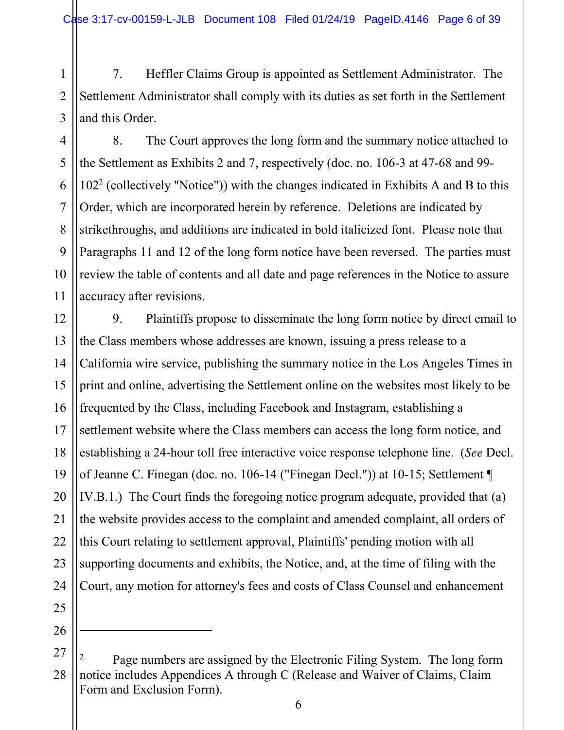1 2 3 7. Heffler Claims Group is appointed as Settlement Administrator. The Settlement Administrator shall comply with its duties as set forth in the Settlement and this Order.

8. The Court approves the long form and the summary notice attached to the Settlement as Exhibits 2 and 7, respectively (doc. no. 106-3 at 47-68 and 99-  $102<sup>2</sup>$  (collectively "Notice")) with the changes indicated in Exhibits A and B to this Order, which are incorporated herein by reference. Deletions are indicated by strikethroughs, and additions are indicated in bold italicized font. Please note that Paragraphs 11 and 12 of the long form notice have been reversed. The parties must review the table of contents and all date and page references in the Notice to assure accuracy after revisions.

12 13 14 15 16 17 18 19 20 21 22 23 24 9. Plaintiffs propose to disseminate the long form notice by direct email to the Class members whose addresses are known, issuing a press release to a California wire service, publishing the summary notice in the Los Angeles Times in print and online, advertising the Settlement online on the websites most likely to be frequented by the Class, including Facebook and Instagram, establishing a settlement website where the Class members can access the long form notice, and establishing a 24-hour toll free interactive voice response telephone line. (*See* Decl. of Jeanne C. Finegan (doc. no. 106-14 ("Finegan Decl.")) at 10-15; Settlement ¶ IV.B.1.) The Court finds the foregoing notice program adequate, provided that (a) the website provides access to the complaint and amended complaint, all orders of this Court relating to settlement approval, Plaintiffs' pending motion with all supporting documents and exhibits, the Notice, and, at the time of filing with the Court, any motion for attorney's fees and costs of Class Counsel and enhancement

25 26

 $\ddot{\phantom{a}}$ 

4

5

6

7

8

9

10

<sup>27</sup> 28 <sup>2</sup> Page numbers are assigned by the Electronic Filing System. The long form notice includes Appendices A through C (Release and Waiver of Claims, Claim Form and Exclusion Form).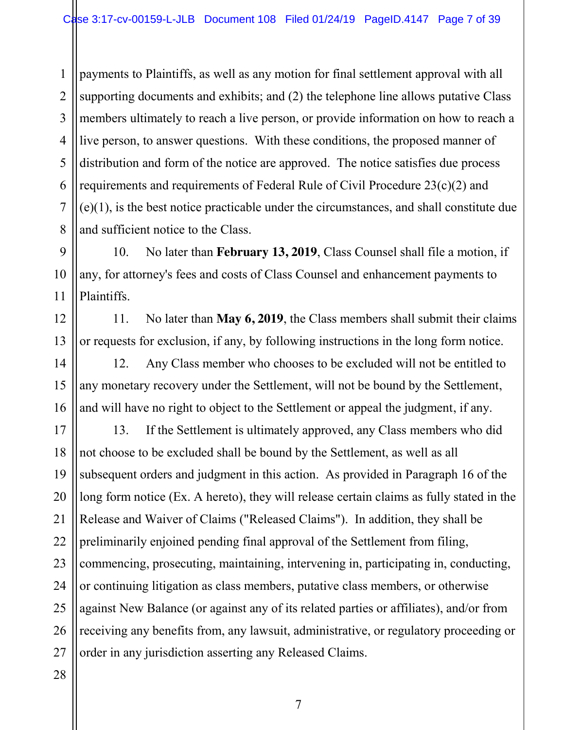1 2 3 4 5 6 7 8 payments to Plaintiffs, as well as any motion for final settlement approval with all supporting documents and exhibits; and (2) the telephone line allows putative Class members ultimately to reach a live person, or provide information on how to reach a live person, to answer questions. With these conditions, the proposed manner of distribution and form of the notice are approved. The notice satisfies due process requirements and requirements of Federal Rule of Civil Procedure 23(c)(2) and (e)(1), is the best notice practicable under the circumstances, and shall constitute due and sufficient notice to the Class.

10. No later than **February 13, 2019**, Class Counsel shall file a motion, if any, for attorney's fees and costs of Class Counsel and enhancement payments to Plaintiffs.

11. No later than **May 6, 2019**, the Class members shall submit their claims or requests for exclusion, if any, by following instructions in the long form notice.

12. Any Class member who chooses to be excluded will not be entitled to any monetary recovery under the Settlement, will not be bound by the Settlement, and will have no right to object to the Settlement or appeal the judgment, if any.

17 18 19 20 21 22 23 24 25 26 27 13. If the Settlement is ultimately approved, any Class members who did not choose to be excluded shall be bound by the Settlement, as well as all subsequent orders and judgment in this action. As provided in Paragraph 16 of the long form notice (Ex. A hereto), they will release certain claims as fully stated in the Release and Waiver of Claims ("Released Claims"). In addition, they shall be preliminarily enjoined pending final approval of the Settlement from filing, commencing, prosecuting, maintaining, intervening in, participating in, conducting, or continuing litigation as class members, putative class members, or otherwise against New Balance (or against any of its related parties or affiliates), and/or from receiving any benefits from, any lawsuit, administrative, or regulatory proceeding or order in any jurisdiction asserting any Released Claims.

28

9

10

11

12

13

14

15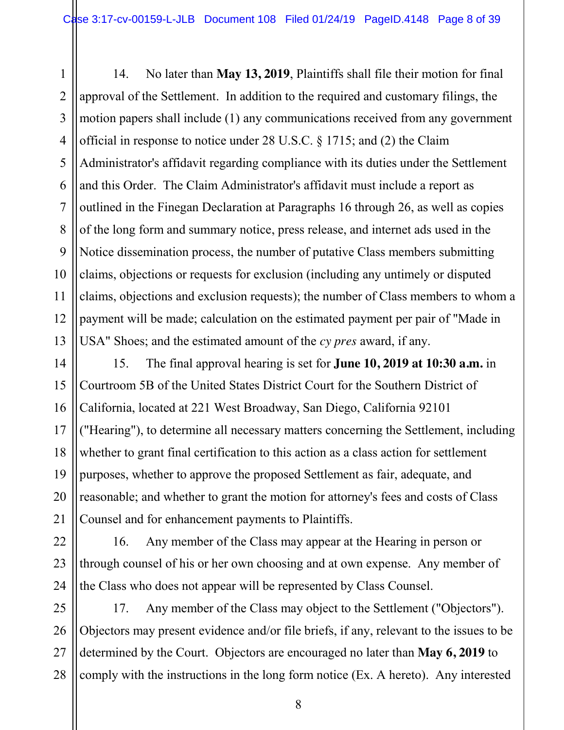1 2 3 4 5 6 7 8 9 10 11 12 13 14. No later than **May 13, 2019**, Plaintiffs shall file their motion for final approval of the Settlement. In addition to the required and customary filings, the motion papers shall include (1) any communications received from any government official in response to notice under 28 U.S.C. § 1715; and (2) the Claim Administrator's affidavit regarding compliance with its duties under the Settlement and this Order. The Claim Administrator's affidavit must include a report as outlined in the Finegan Declaration at Paragraphs 16 through 26, as well as copies of the long form and summary notice, press release, and internet ads used in the Notice dissemination process, the number of putative Class members submitting claims, objections or requests for exclusion (including any untimely or disputed claims, objections and exclusion requests); the number of Class members to whom a payment will be made; calculation on the estimated payment per pair of "Made in USA" Shoes; and the estimated amount of the *cy pres* award, if any.

14 15 16 17 18 19 20 21 15. The final approval hearing is set for **June 10, 2019 at 10:30 a.m.** in Courtroom 5B of the United States District Court for the Southern District of California, located at 221 West Broadway, San Diego, California 92101 ("Hearing"), to determine all necessary matters concerning the Settlement, including whether to grant final certification to this action as a class action for settlement purposes, whether to approve the proposed Settlement as fair, adequate, and reasonable; and whether to grant the motion for attorney's fees and costs of Class Counsel and for enhancement payments to Plaintiffs.

22 23 24 16. Any member of the Class may appear at the Hearing in person or through counsel of his or her own choosing and at own expense. Any member of the Class who does not appear will be represented by Class Counsel.

25 26 27 28 17. Any member of the Class may object to the Settlement ("Objectors"). Objectors may present evidence and/or file briefs, if any, relevant to the issues to be determined by the Court. Objectors are encouraged no later than **May 6, 2019** to comply with the instructions in the long form notice (Ex. A hereto). Any interested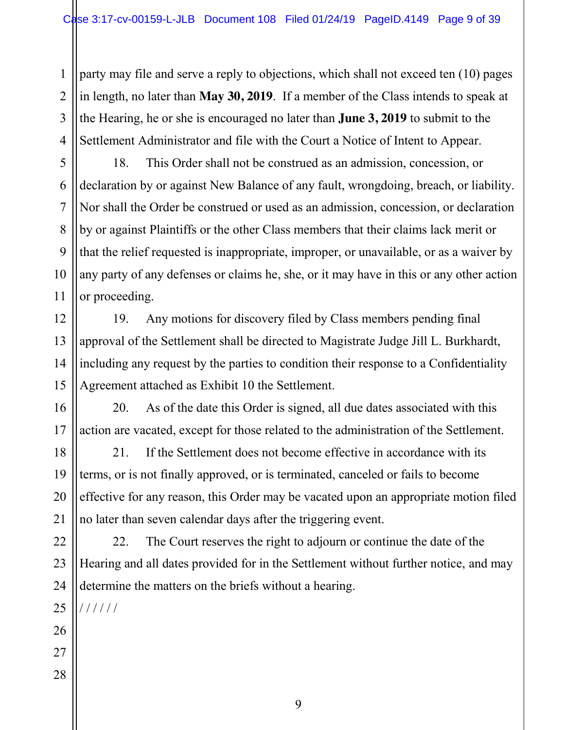1 2 3 4 party may file and serve a reply to objections, which shall not exceed ten (10) pages in length, no later than **May 30, 2019**. If a member of the Class intends to speak at the Hearing, he or she is encouraged no later than **June 3, 2019** to submit to the Settlement Administrator and file with the Court a Notice of Intent to Appear.

18. This Order shall not be construed as an admission, concession, or declaration by or against New Balance of any fault, wrongdoing, breach, or liability. Nor shall the Order be construed or used as an admission, concession, or declaration by or against Plaintiffs or the other Class members that their claims lack merit or that the relief requested is inappropriate, improper, or unavailable, or as a waiver by any party of any defenses or claims he, she, or it may have in this or any other action or proceeding.

19. Any motions for discovery filed by Class members pending final approval of the Settlement shall be directed to Magistrate Judge Jill L. Burkhardt, including any request by the parties to condition their response to a Confidentiality Agreement attached as Exhibit 10 the Settlement.

20. As of the date this Order is signed, all due dates associated with this action are vacated, except for those related to the administration of the Settlement.

21. If the Settlement does not become effective in accordance with its terms, or is not finally approved, or is terminated, canceled or fails to become effective for any reason, this Order may be vacated upon an appropriate motion filed no later than seven calendar days after the triggering event.

22 23 24 22. The Court reserves the right to adjourn or continue the date of the Hearing and all dates provided for in the Settlement without further notice, and may determine the matters on the briefs without a hearing.

25 / / / / / /

26 27

5

6

7

8

9

10

11

12

13

14

15

16

17

18

19

20

21